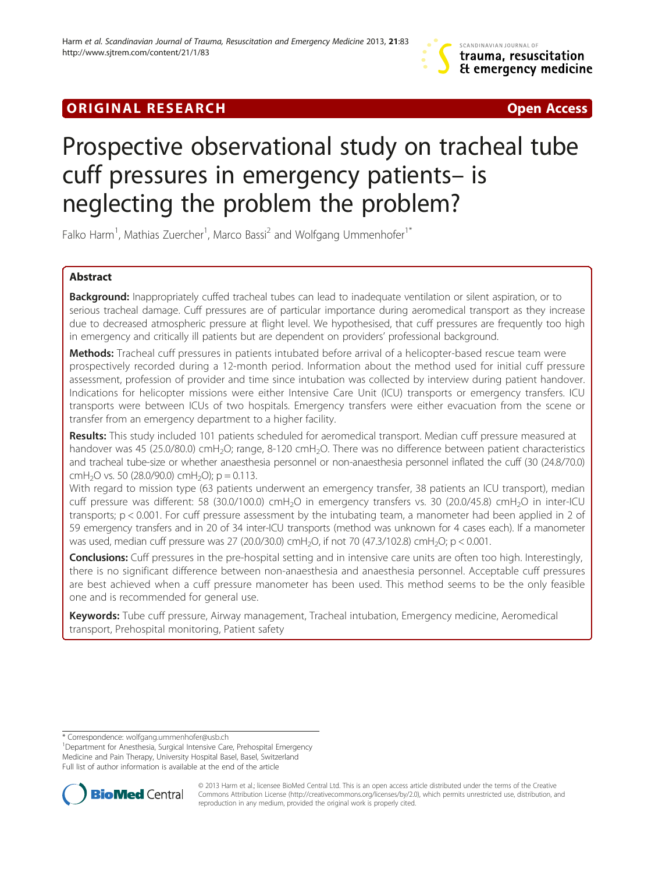# **ORIGINAL RESEARCH CONSUMING A RESEARCH CONSUMING A RESEARCH**

# Prospective observational study on tracheal tube cuff pressures in emergency patients– is neglecting the problem the problem?

Falko Harm<sup>1</sup>, Mathias Zuercher<sup>1</sup>, Marco Bassi<sup>2</sup> and Wolfgang Ummenhofer<sup>1\*</sup>

# Abstract

Background: Inappropriately cuffed tracheal tubes can lead to inadequate ventilation or silent aspiration, or to serious tracheal damage. Cuff pressures are of particular importance during aeromedical transport as they increase due to decreased atmospheric pressure at flight level. We hypothesised, that cuff pressures are frequently too high in emergency and critically ill patients but are dependent on providers' professional background.

Methods: Tracheal cuff pressures in patients intubated before arrival of a helicopter-based rescue team were prospectively recorded during a 12-month period. Information about the method used for initial cuff pressure assessment, profession of provider and time since intubation was collected by interview during patient handover. Indications for helicopter missions were either Intensive Care Unit (ICU) transports or emergency transfers. ICU transports were between ICUs of two hospitals. Emergency transfers were either evacuation from the scene or transfer from an emergency department to a higher facility.

Results: This study included 101 patients scheduled for aeromedical transport. Median cuff pressure measured at handover was 45 (25.0/80.0) cmH<sub>2</sub>O; range, 8-120 cmH<sub>2</sub>O. There was no difference between patient characteristics and tracheal tube-size or whether anaesthesia personnel or non-anaesthesia personnel inflated the cuff (30 (24.8/70.0) cmH<sub>2</sub>O vs. 50 (28.0/90.0) cmH<sub>2</sub>O); p = 0.113.

With regard to mission type (63 patients underwent an emergency transfer, 38 patients an ICU transport), median cuff pressure was different: 58 (30.0/100.0) cmH<sub>2</sub>O in emergency transfers vs. 30 (20.0/45.8) cmH<sub>2</sub>O in inter-ICU transports; p < 0.001. For cuff pressure assessment by the intubating team, a manometer had been applied in 2 of 59 emergency transfers and in 20 of 34 inter-ICU transports (method was unknown for 4 cases each). If a manometer was used, median cuff pressure was 27 (20.0/30.0) cmH<sub>2</sub>O, if not 70 (47.3/102.8) cmH<sub>2</sub>O; p < 0.001.

Conclusions: Cuff pressures in the pre-hospital setting and in intensive care units are often too high. Interestingly, there is no significant difference between non-anaesthesia and anaesthesia personnel. Acceptable cuff pressures are best achieved when a cuff pressure manometer has been used. This method seems to be the only feasible one and is recommended for general use.

Keywords: Tube cuff pressure, Airway management, Tracheal intubation, Emergency medicine, Aeromedical transport, Prehospital monitoring, Patient safety

<sup>&</sup>lt;sup>1</sup>Department for Anesthesia, Surgical Intensive Care, Prehospital Emergency Medicine and Pain Therapy, University Hospital Basel, Basel, Switzerland Full list of author information is available at the end of the article



© 2013 Harm et al.; licensee BioMed Central Ltd. This is an open access article distributed under the terms of the Creative Commons Attribution License [\(http://creativecommons.org/licenses/by/2.0\)](http://creativecommons.org/licenses/by/2.0), which permits unrestricted use, distribution, and reproduction in any medium, provided the original work is properly cited.

<sup>\*</sup> Correspondence: [wolfgang.ummenhofer@usb.ch](mailto:wolfgang.ummenhofer@usb.ch) <sup>1</sup>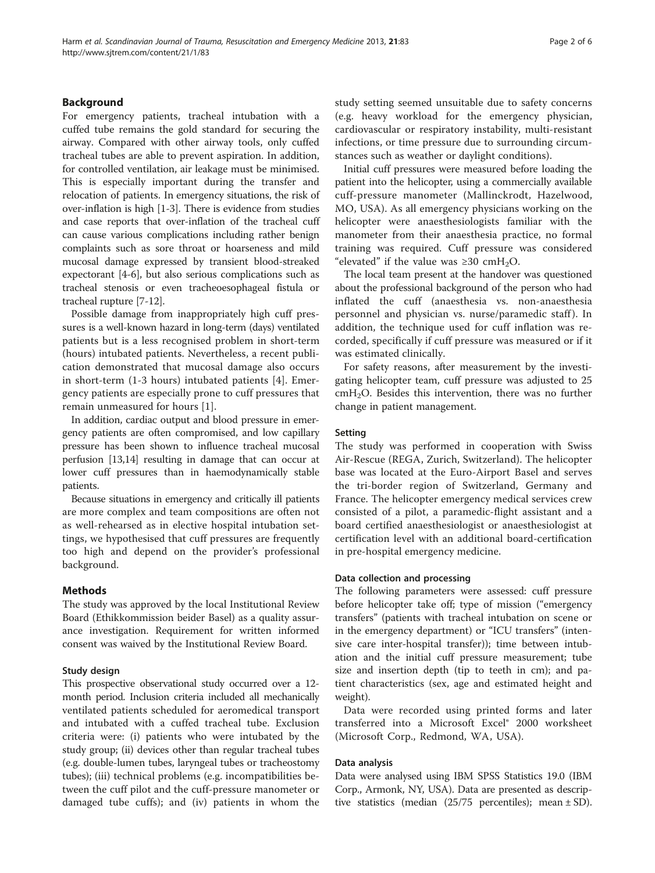# Background

For emergency patients, tracheal intubation with a cuffed tube remains the gold standard for securing the airway. Compared with other airway tools, only cuffed tracheal tubes are able to prevent aspiration. In addition, for controlled ventilation, air leakage must be minimised. This is especially important during the transfer and relocation of patients. In emergency situations, the risk of over-inflation is high [\[1-3](#page-4-0)]. There is evidence from studies and case reports that over-inflation of the tracheal cuff can cause various complications including rather benign complaints such as sore throat or hoarseness and mild mucosal damage expressed by transient blood-streaked expectorant [[4-6\]](#page-4-0), but also serious complications such as tracheal stenosis or even tracheoesophageal fistula or tracheal rupture [[7-12\]](#page-5-0).

Possible damage from inappropriately high cuff pressures is a well-known hazard in long-term (days) ventilated patients but is a less recognised problem in short-term (hours) intubated patients. Nevertheless, a recent publication demonstrated that mucosal damage also occurs in short-term (1-3 hours) intubated patients [[4](#page-4-0)]. Emergency patients are especially prone to cuff pressures that remain unmeasured for hours [\[1](#page-4-0)].

In addition, cardiac output and blood pressure in emergency patients are often compromised, and low capillary pressure has been shown to influence tracheal mucosal perfusion [[13,14](#page-5-0)] resulting in damage that can occur at lower cuff pressures than in haemodynamically stable patients.

Because situations in emergency and critically ill patients are more complex and team compositions are often not as well-rehearsed as in elective hospital intubation settings, we hypothesised that cuff pressures are frequently too high and depend on the provider's professional background.

# Methods

The study was approved by the local Institutional Review Board (Ethikkommission beider Basel) as a quality assurance investigation. Requirement for written informed consent was waived by the Institutional Review Board.

### Study design

This prospective observational study occurred over a 12 month period. Inclusion criteria included all mechanically ventilated patients scheduled for aeromedical transport and intubated with a cuffed tracheal tube. Exclusion criteria were: (i) patients who were intubated by the study group; (ii) devices other than regular tracheal tubes (e.g. double-lumen tubes, laryngeal tubes or tracheostomy tubes); (iii) technical problems (e.g. incompatibilities between the cuff pilot and the cuff-pressure manometer or damaged tube cuffs); and (iv) patients in whom the study setting seemed unsuitable due to safety concerns (e.g. heavy workload for the emergency physician, cardiovascular or respiratory instability, multi-resistant infections, or time pressure due to surrounding circumstances such as weather or daylight conditions).

Initial cuff pressures were measured before loading the patient into the helicopter, using a commercially available cuff-pressure manometer (Mallinckrodt, Hazelwood, MO, USA). As all emergency physicians working on the helicopter were anaesthesiologists familiar with the manometer from their anaesthesia practice, no formal training was required. Cuff pressure was considered "elevated" if the value was  $\geq 30$  cmH<sub>2</sub>O.

The local team present at the handover was questioned about the professional background of the person who had inflated the cuff (anaesthesia vs. non-anaesthesia personnel and physician vs. nurse/paramedic staff). In addition, the technique used for cuff inflation was recorded, specifically if cuff pressure was measured or if it was estimated clinically.

For safety reasons, after measurement by the investigating helicopter team, cuff pressure was adjusted to 25 cmH2O. Besides this intervention, there was no further change in patient management.

#### Setting

The study was performed in cooperation with Swiss Air-Rescue (REGA, Zurich, Switzerland). The helicopter base was located at the Euro-Airport Basel and serves the tri-border region of Switzerland, Germany and France. The helicopter emergency medical services crew consisted of a pilot, a paramedic-flight assistant and a board certified anaesthesiologist or anaesthesiologist at certification level with an additional board-certification in pre-hospital emergency medicine.

### Data collection and processing

The following parameters were assessed: cuff pressure before helicopter take off; type of mission ("emergency transfers" (patients with tracheal intubation on scene or in the emergency department) or "ICU transfers" (intensive care inter-hospital transfer)); time between intubation and the initial cuff pressure measurement; tube size and insertion depth (tip to teeth in cm); and patient characteristics (sex, age and estimated height and weight).

Data were recorded using printed forms and later transferred into a Microsoft Excel® 2000 worksheet (Microsoft Corp., Redmond, WA, USA).

### Data analysis

Data were analysed using IBM SPSS Statistics 19.0 (IBM Corp., Armonk, NY, USA). Data are presented as descriptive statistics (median  $(25/75$  percentiles); mean  $\pm$  SD).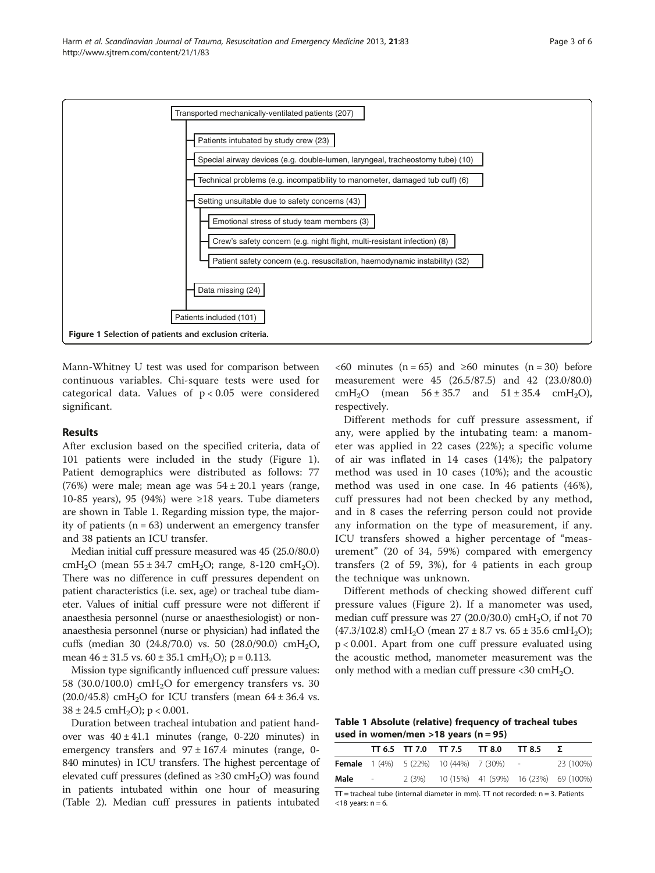<span id="page-2-0"></span>

Mann-Whitney U test was used for comparison between continuous variables. Chi-square tests were used for categorical data. Values of p < 0.05 were considered significant.

### Results

After exclusion based on the specified criteria, data of 101 patients were included in the study (Figure 1). Patient demographics were distributed as follows: 77 (76%) were male; mean age was  $54 \pm 20.1$  years (range, 10-85 years), 95 (94%) were  $\geq$ 18 years. Tube diameters are shown in Table 1. Regarding mission type, the majority of patients  $(n = 63)$  underwent an emergency transfer and 38 patients an ICU transfer.

Median initial cuff pressure measured was 45 (25.0/80.0) cmH<sub>2</sub>O (mean  $55 \pm 34.7$  cmH<sub>2</sub>O; range, 8-120 cmH<sub>2</sub>O). There was no difference in cuff pressures dependent on patient characteristics (i.e. sex, age) or tracheal tube diameter. Values of initial cuff pressure were not different if anaesthesia personnel (nurse or anaesthesiologist) or nonanaesthesia personnel (nurse or physician) had inflated the cuffs (median 30 (24.8/70.0) vs. 50 (28.0/90.0) cmH<sub>2</sub>O, mean  $46 \pm 31.5$  vs.  $60 \pm 35.1$  cmH<sub>2</sub>O); p = 0.113.

Mission type significantly influenced cuff pressure values: 58 (30.0/100.0) cmH<sub>2</sub>O for emergency transfers vs. 30  $(20.0/45.8)$  cmH<sub>2</sub>O for ICU transfers (mean 64 ± 36.4 vs.  $38 \pm 24.5$  cmH<sub>2</sub>O); p < 0.001.

Duration between tracheal intubation and patient handover was  $40 \pm 41.1$  minutes (range, 0-220 minutes) in emergency transfers and  $97 \pm 167.4$  minutes (range, 0-840 minutes) in ICU transfers. The highest percentage of elevated cuff pressures (defined as  $\geq$ 30 cmH<sub>2</sub>O) was found in patients intubated within one hour of measuring (Table [2\)](#page-3-0). Median cuff pressures in patients intubated

 $<60$  minutes (n = 65) and  $\geq 60$  minutes (n = 30) before measurement were 45 (26.5/87.5) and 42 (23.0/80.0) cmH<sub>2</sub>O (mean  $56 \pm 35.7$  and  $51 \pm 35.4$  cmH<sub>2</sub>O), respectively.

Different methods for cuff pressure assessment, if any, were applied by the intubating team: a manometer was applied in 22 cases (22%); a specific volume of air was inflated in 14 cases (14%); the palpatory method was used in 10 cases (10%); and the acoustic method was used in one case. In 46 patients (46%), cuff pressures had not been checked by any method, and in 8 cases the referring person could not provide any information on the type of measurement, if any. ICU transfers showed a higher percentage of "measurement" (20 of 34, 59%) compared with emergency transfers (2 of 59, 3%), for 4 patients in each group the technique was unknown.

Different methods of checking showed different cuff pressure values (Figure [2](#page-3-0)). If a manometer was used, median cuff pressure was  $27$  (20.0/30.0) cmH<sub>2</sub>O, if not 70 (47.3/102.8) cmH<sub>2</sub>O (mean  $27 \pm 8.7$  vs.  $65 \pm 35.6$  cmH<sub>2</sub>O); p < 0.001. Apart from one cuff pressure evaluated using the acoustic method, manometer measurement was the only method with a median cuff pressure  $<30$  cmH<sub>2</sub>O.

Table 1 Absolute (relative) frequency of tracheal tubes used in women/men  $>18$  years (n = 95)

|      |                          |  | $TT 6.5$ $TT 7.0$ $TT 7.5$ $TT 8.0$ $TT 8.5$      |           |
|------|--------------------------|--|---------------------------------------------------|-----------|
|      |                          |  | <b>Female</b> $1(4\%)$ 5 (22%) 10 (44%) 7 (30%) - | 23 (100%) |
| Male | $\overline{\phantom{a}}$ |  | 2 (3%) 10 (15%) 41 (59%) 16 (23%) 69 (100%)       |           |

 $TT =$  tracheal tube (internal diameter in mm).  $TT$  not recorded:  $n = 3$ . Patients  $<$ 18 years: n = 6.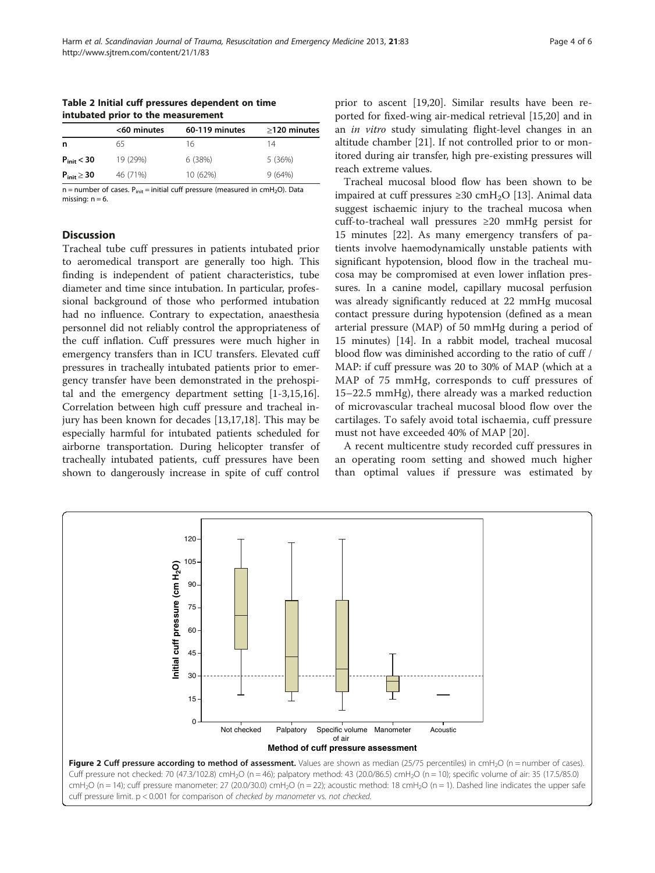<span id="page-3-0"></span>Table 2 Initial cuff pressures dependent on time intubated prior to the measurement

|                    | <60 minutes | 60-119 minutes | $>120$ minutes |
|--------------------|-------------|----------------|----------------|
| n                  | 65          | 16             | 14             |
| $P_{init}$ < 30    | 19 (29%)    | 6 (38%)        | 5 (36%)        |
| $P_{init} \geq 30$ | 46 (71%)    | 10 (62%)       | 9(64%)         |

 $n =$  number of cases.  $P_{init} =$  initial cuff pressure (measured in cmH<sub>2</sub>O). Data missing:  $n = 6$ .

# **Discussion**

Tracheal tube cuff pressures in patients intubated prior to aeromedical transport are generally too high. This finding is independent of patient characteristics, tube diameter and time since intubation. In particular, professional background of those who performed intubation had no influence. Contrary to expectation, anaesthesia personnel did not reliably control the appropriateness of the cuff inflation. Cuff pressures were much higher in emergency transfers than in ICU transfers. Elevated cuff pressures in tracheally intubated patients prior to emergency transfer have been demonstrated in the prehospital and the emergency department setting [[1-3](#page-4-0)[,15,16](#page-5-0)]. Correlation between high cuff pressure and tracheal injury has been known for decades [[13,17,18\]](#page-5-0). This may be especially harmful for intubated patients scheduled for airborne transportation. During helicopter transfer of tracheally intubated patients, cuff pressures have been shown to dangerously increase in spite of cuff control

prior to ascent [[19](#page-5-0),[20](#page-5-0)]. Similar results have been reported for fixed-wing air-medical retrieval [\[15,20](#page-5-0)] and in an in vitro study simulating flight-level changes in an altitude chamber [[21](#page-5-0)]. If not controlled prior to or monitored during air transfer, high pre-existing pressures will reach extreme values.

Tracheal mucosal blood flow has been shown to be impaired at cuff pressures ≥30 cmH<sub>2</sub>O [\[13\]](#page-5-0). Animal data suggest ischaemic injury to the tracheal mucosa when cuff-to-tracheal wall pressures ≥20 mmHg persist for 15 minutes [\[22](#page-5-0)]. As many emergency transfers of patients involve haemodynamically unstable patients with significant hypotension, blood flow in the tracheal mucosa may be compromised at even lower inflation pressures. In a canine model, capillary mucosal perfusion was already significantly reduced at 22 mmHg mucosal contact pressure during hypotension (defined as a mean arterial pressure (MAP) of 50 mmHg during a period of 15 minutes) [\[14](#page-5-0)]. In a rabbit model, tracheal mucosal blood flow was diminished according to the ratio of cuff / MAP: if cuff pressure was 20 to 30% of MAP (which at a MAP of 75 mmHg, corresponds to cuff pressures of 15–22.5 mmHg), there already was a marked reduction of microvascular tracheal mucosal blood flow over the cartilages. To safely avoid total ischaemia, cuff pressure must not have exceeded 40% of MAP [[20](#page-5-0)].

A recent multicentre study recorded cuff pressures in an operating room setting and showed much higher than optimal values if pressure was estimated by

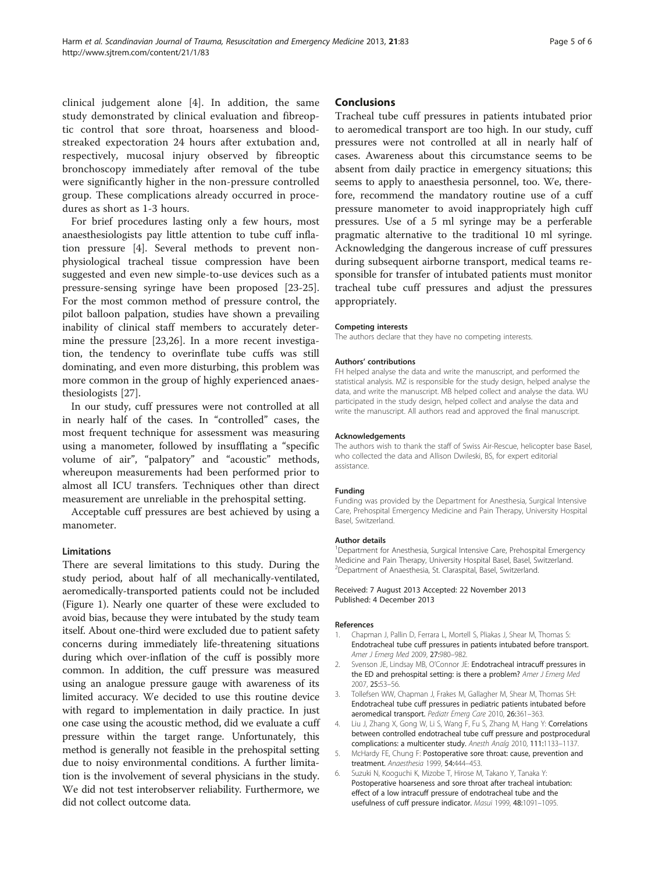<span id="page-4-0"></span>clinical judgement alone [4]. In addition, the same study demonstrated by clinical evaluation and fibreoptic control that sore throat, hoarseness and bloodstreaked expectoration 24 hours after extubation and, respectively, mucosal injury observed by fibreoptic bronchoscopy immediately after removal of the tube were significantly higher in the non-pressure controlled group. These complications already occurred in procedures as short as 1-3 hours.

For brief procedures lasting only a few hours, most anaesthesiologists pay little attention to tube cuff inflation pressure [4]. Several methods to prevent nonphysiological tracheal tissue compression have been suggested and even new simple-to-use devices such as a pressure-sensing syringe have been proposed [\[23-25](#page-5-0)]. For the most common method of pressure control, the pilot balloon palpation, studies have shown a prevailing inability of clinical staff members to accurately determine the pressure [\[23,26](#page-5-0)]. In a more recent investigation, the tendency to overinflate tube cuffs was still dominating, and even more disturbing, this problem was more common in the group of highly experienced anaesthesiologists [[27\]](#page-5-0).

In our study, cuff pressures were not controlled at all in nearly half of the cases. In "controlled" cases, the most frequent technique for assessment was measuring using a manometer, followed by insufflating a "specific volume of air", "palpatory" and "acoustic" methods, whereupon measurements had been performed prior to almost all ICU transfers. Techniques other than direct measurement are unreliable in the prehospital setting.

Acceptable cuff pressures are best achieved by using a manometer.

### Limitations

There are several limitations to this study. During the study period, about half of all mechanically-ventilated, aeromedically-transported patients could not be included (Figure [1\)](#page-2-0). Nearly one quarter of these were excluded to avoid bias, because they were intubated by the study team itself. About one-third were excluded due to patient safety concerns during immediately life-threatening situations during which over-inflation of the cuff is possibly more common. In addition, the cuff pressure was measured using an analogue pressure gauge with awareness of its limited accuracy. We decided to use this routine device with regard to implementation in daily practice. In just one case using the acoustic method, did we evaluate a cuff pressure within the target range. Unfortunately, this method is generally not feasible in the prehospital setting due to noisy environmental conditions. A further limitation is the involvement of several physicians in the study. We did not test interobserver reliability. Furthermore, we did not collect outcome data.

#### Conclusions

Tracheal tube cuff pressures in patients intubated prior to aeromedical transport are too high. In our study, cuff pressures were not controlled at all in nearly half of cases. Awareness about this circumstance seems to be absent from daily practice in emergency situations; this seems to apply to anaesthesia personnel, too. We, therefore, recommend the mandatory routine use of a cuff pressure manometer to avoid inappropriately high cuff pressures. Use of a 5 ml syringe may be a perferable pragmatic alternative to the traditional 10 ml syringe. Acknowledging the dangerous increase of cuff pressures during subsequent airborne transport, medical teams responsible for transfer of intubated patients must monitor tracheal tube cuff pressures and adjust the pressures appropriately.

#### Competing interests

The authors declare that they have no competing interests.

#### Authors' contributions

FH helped analyse the data and write the manuscript, and performed the statistical analysis. MZ is responsible for the study design, helped analyse the data, and write the manuscript. MB helped collect and analyse the data. WU participated in the study design, helped collect and analyse the data and write the manuscript. All authors read and approved the final manuscript.

#### Acknowledgements

The authors wish to thank the staff of Swiss Air-Rescue, helicopter base Basel, who collected the data and Allison Dwileski, BS, for expert editorial assistance.

#### Funding

Funding was provided by the Department for Anesthesia, Surgical Intensive Care, Prehospital Emergency Medicine and Pain Therapy, University Hospital Basel, Switzerland.

#### Author details

<sup>1</sup>Department for Anesthesia, Surgical Intensive Care, Prehospital Emergency Medicine and Pain Therapy, University Hospital Basel, Basel, Switzerland. 2 Department of Anaesthesia, St. Claraspital, Basel, Switzerland.

Received: 7 August 2013 Accepted: 22 November 2013 Published: 4 December 2013

#### References

- 1. Chapman J, Pallin D, Ferrara L, Mortell S, Pliakas J, Shear M, Thomas S: Endotracheal tube cuff pressures in patients intubated before transport. Amer J Emerg Med 2009, 27:980–982.
- 2. Svenson JE, Lindsay MB, O'Connor JE: Endotracheal intracuff pressures in the ED and prehospital setting: is there a problem? Amer J Emerg Med 2007, 25:53–56.
- 3. Tollefsen WW, Chapman J, Frakes M, Gallagher M, Shear M, Thomas SH: Endotracheal tube cuff pressures in pediatric patients intubated before aeromedical transport. Pediatr Emerg Care 2010, 26:361-363.
- Liu J, Zhang X, Gong W, Li S, Wang F, Fu S, Zhang M, Hang Y: Correlations between controlled endotracheal tube cuff pressure and postprocedural complications: a multicenter study. Anesth Analg 2010, 111:1133–1137.
- McHardy FE, Chung F: Postoperative sore throat: cause, prevention and treatment. Anaesthesia 1999, 54:444–453.
- 6. Suzuki N, Kooguchi K, Mizobe T, Hirose M, Takano Y, Tanaka Y: Postoperative hoarseness and sore throat after tracheal intubation: effect of a low intracuff pressure of endotracheal tube and the usefulness of cuff pressure indicator. Masui 1999, 48:1091–1095.